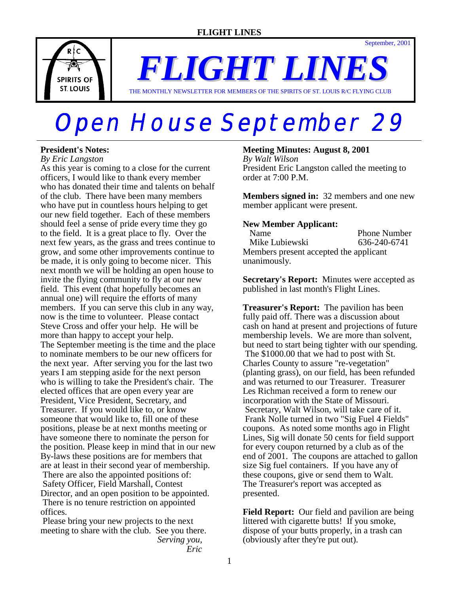THE MONTHLY NEWSLETTER FOR MEMBERS OF THE SPIRITS OF ST. LOUIS R/C FLYING CLUB

# **Open House September 29**

# **President's Notes:**

*By Eric Langston*

As this year is coming to a close for the current officers, I would like to thank every member who has donated their time and talents on behalf of the club. There have been many members who have put in countless hours helping to get our new field together. Each of these members should feel a sense of pride every time they go to the field. It is a great place to fly. Over the next few years, as the grass and trees continue to grow, and some other improvements continue to be made, it is only going to become nicer. This next month we will be holding an open house to invite the flying community to fly at our new field. This event (that hopefully becomes an annual one) will require the efforts of many members. If you can serve this club in any way, now is the time to volunteer. Please contact Steve Cross and offer your help. He will be more than happy to accept your help. The September meeting is the time and the place to nominate members to be our new officers for the next year. After serving you for the last two years I am stepping aside for the next person who is willing to take the President's chair. The elected offices that are open every year are President, Vice President, Secretary, and Treasurer. If you would like to, or know someone that would like to, fill one of these positions, please be at next months meeting or have someone there to nominate the person for the position. Please keep in mind that in our new By-laws these positions are for members that are at least in their second year of membership. There are also the appointed positions of: Safety Officer, Field Marshall, Contest Director, and an open position to be appointed. There is no tenure restriction on appointed offices.

 Please bring your new projects to the next meeting to share with the club. See you there. *Serving you,* 

 *Eric*

## **Meeting Minutes: August 8, 2001**

*By Walt Wilson* President Eric Langston called the meeting to order at 7:00 P.M.

September, 2001

**Members signed in:** 32 members and one new member applicant were present.

## **New Member Applicant:**

 Name Phone Number Mike Lubiewski 636-240-6741 Members present accepted the applicant unanimously.

**Secretary's Report:** Minutes were accepted as published in last month's Flight Lines.

**Treasurer's Report:** The pavilion has been fully paid off. There was a discussion about cash on hand at present and projections of future membership levels. We are more than solvent, but need to start being tighter with our spending. The \$1000.00 that we had to post with St. Charles County to assure "re-vegetation" (planting grass), on our field, has been refunded and was returned to our Treasurer. Treasurer Les Richman received a form to renew our incorporation with the State of Missouri. Secretary, Walt Wilson, will take care of it. Frank Nolle turned in two "Sig Fuel 4 Fields" coupons. As noted some months ago in Flight Lines, Sig will donate 50 cents for field support for every coupon returned by a club as of the end of 2001. The coupons are attached to gallon size Sig fuel containers. If you have any of these coupons, give or send them to Walt. The Treasurer's report was accepted as presented.

**Field Report:** Our field and pavilion are being littered with cigarette butts! If you smoke, dispose of your butts properly, in a trash can (obviously after they're put out).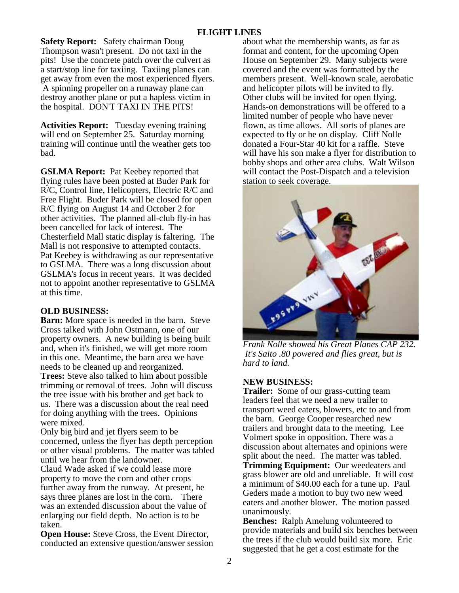**Safety Report:** Safety chairman Doug Thompson wasn't present. Do not taxi in the pits! Use the concrete patch over the culvert as a start/stop line for taxiing. Taxiing planes can get away from even the most experienced flyers. A spinning propeller on a runaway plane can destroy another plane or put a hapless victim in the hospital. DON'T TAXI IN THE PITS!

**Activities Report:** Tuesday evening training will end on September 25. Saturday morning training will continue until the weather gets too bad.

**GSLMA Report:** Pat Keebey reported that flying rules have been posted at Buder Park for R/C, Control line, Helicopters, Electric R/C and Free Flight. Buder Park will be closed for open R/C flying on August 14 and October 2 for other activities. The planned all-club fly-in has been cancelled for lack of interest. The Chesterfield Mall static display is faltering. The Mall is not responsive to attempted contacts. Pat Keebey is withdrawing as our representative to GSLMA. There was a long discussion about GSLMA's focus in recent years. It was decided not to appoint another representative to GSLMA at this time.

# **OLD BUSINESS:**

**Barn:** More space is needed in the barn. Steve Cross talked with John Ostmann, one of our property owners. A new building is being built and, when it's finished, we will get more room in this one. Meantime, the barn area we have needs to be cleaned up and reorganized. **Trees:** Steve also talked to him about possible trimming or removal of trees. John will discuss the tree issue with his brother and get back to us. There was a discussion about the real need for doing anything with the trees. Opinions were mixed.

Only big bird and jet flyers seem to be concerned, unless the flyer has depth perception or other visual problems. The matter was tabled until we hear from the landowner.

Claud Wade asked if we could lease more property to move the corn and other crops further away from the runway. At present, he says three planes are lost in the corn. There was an extended discussion about the value of enlarging our field depth. No action is to be taken.

**Open House:** Steve Cross, the Event Director, conducted an extensive question/answer session about what the membership wants, as far as format and content, for the upcoming Open House on September 29. Many subjects were covered and the event was formatted by the members present. Well-known scale, aerobatic and helicopter pilots will be invited to fly. Other clubs will be invited for open flying. Hands-on demonstrations will be offered to a limited number of people who have never flown, as time allows. All sorts of planes are expected to fly or be on display. Cliff Nolle donated a Four-Star 40 kit for a raffle. Steve will have his son make a flyer for distribution to hobby shops and other area clubs. Walt Wilson will contact the Post-Dispatch and a television station to seek coverage.



*Frank Nolle showed his Great Planes CAP 232. It's Saito .80 powered and flies great, but is hard to land.*

# **NEW BUSINESS:**

**Trailer:** Some of our grass-cutting team leaders feel that we need a new trailer to transport weed eaters, blowers, etc to and from the barn. George Cooper researched new trailers and brought data to the meeting. Lee Volmert spoke in opposition. There was a discussion about alternates and opinions were split about the need. The matter was tabled. **Trimming Equipment:** Our weedeaters and grass blower are old and unreliable. It will cost a minimum of \$40.00 each for a tune up. Paul Geders made a motion to buy two new weed eaters and another blower. The motion passed unanimously.

**Benches:** Ralph Amelung volunteered to provide materials and build six benches between the trees if the club would build six more. Eric suggested that he get a cost estimate for the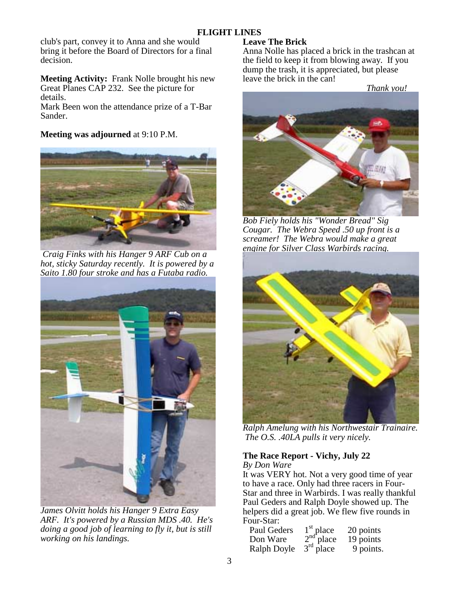club's part, convey it to Anna and she would bring it before the Board of Directors for a final decision.

**Meeting Activity:** Frank Nolle brought his new Great Planes CAP 232. See the picture for details.

Mark Been won the attendance prize of a T-Bar Sander.

**Meeting was adjourned** at 9:10 P.M.



 *Craig Finks with his Hanger 9 ARF Cub on a hot, sticky Saturday recently. It is powered by a Saito 1.80 four stroke and has a Futaba radio.* 



*James Olvitt holds his Hanger 9 Extra Easy ARF. It's powered by a Russian MDS .40. He's doing a good job of learning to fly it, but is still working on his landings.* 

# **Leave The Brick**

Anna Nolle has placed a brick in the trashcan at the field to keep it from blowing away. If you dump the trash, it is appreciated, but please leave the brick in the can!

 *Thank you!*



*Bob Fiely holds his "Wonder Bread" Sig Cougar. The Webra Speed .50 up front is a screamer! The Webra would make a great engine for Silver Class Warbirds racing.* 



*Ralph Amelung with his Northwestair Trainaire. The O.S. .40LA pulls it very nicely.* 

## **The Race Report - Vichy, July 22**  *By Don Ware*

It was VERY hot. Not a very good time of year to have a race. Only had three racers in Four-Star and three in Warbirds. I was really thankful Paul Geders and Ralph Doyle showed up. The helpers did a great job. We flew five rounds in Four-Star:

| Paul Geders | $\frac{1}{2}$ <sup>st</sup> place<br>$\frac{2}{3}$ <sup>rd</sup> place | 20 points |
|-------------|------------------------------------------------------------------------|-----------|
| Don Ware    |                                                                        | 19 points |
| Ralph Doyle |                                                                        | 9 points. |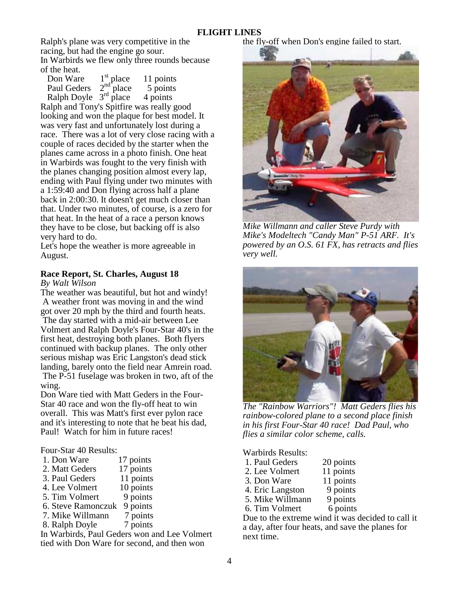Ralph's plane was very competitive in the racing, but had the engine go sour. In Warbirds we flew only three rounds because of the heat.

| Don Ware                | $1st$ place<br>$2nd$ place | 11 points |
|-------------------------|----------------------------|-----------|
| Paul Geders             |                            | 5 points  |
| Ralph Doyle $3rd$ place |                            | 4 points  |

Ralph and Tony's Spitfire was really good looking and won the plaque for best model. It was very fast and unfortunately lost during a race. There was a lot of very close racing with a couple of races decided by the starter when the planes came across in a photo finish. One heat in Warbirds was fought to the very finish with the planes changing position almost every lap, ending with Paul flying under two minutes with a 1:59:40 and Don flying across half a plane back in 2:00:30. It doesn't get much closer than that. Under two minutes, of course, is a zero for that heat. In the heat of a race a person knows they have to be close, but backing off is also very hard to do.

Let's hope the weather is more agreeable in August.

# **Race Report, St. Charles, August 18**

*By Walt Wilson*

The weather was beautiful, but hot and windy! A weather front was moving in and the wind got over 20 mph by the third and fourth heats. The day started with a mid-air between Lee Volmert and Ralph Doyle's Four-Star 40's in the first heat, destroying both planes. Both flyers continued with backup planes. The only other serious mishap was Eric Langston's dead stick landing, barely onto the field near Amrein road. The P-51 fuselage was broken in two, aft of the wing.

Don Ware tied with Matt Geders in the Four-Star 40 race and won the fly-off heat to win overall. This was Matt's first ever pylon race and it's interesting to note that he beat his dad, Paul! Watch for him in future races!

## Four-Star 40 Results:

- 1. Don Ware 17 points
- 2. Matt Geders 17 points
- 3. Paul Geders 11 points
- 4. Lee Volmert 10 points
- 5. Tim Volmert 9 points
- 6. Steve Ramonczuk 9 points
- 7. Mike Willmann 7 points
- 8. Ralph Doyle 7 points

In Warbirds, Paul Geders won and Lee Volmert tied with Don Ware for second, and then won

the fly-off when Don's engine failed to start.



*Mike Willmann and caller Steve Purdy with Mike's Modeltech "Candy Man" P-51 ARF. It's powered by an O.S. 61 FX, has retracts and flies very well.* 



*The "Rainbow Warriors"! Matt Geders flies his rainbow-colored plane to a second place finish in his first Four-Star 40 race! Dad Paul, who flies a similar color scheme, calls.* 

Warbirds Results:

- 1. Paul Geders 20 points
- 2. Lee Volmert 11 points
- 3. Don Ware 11 points
- 4. Eric Langston 9 points
- 5. Mike Willmann 9 points
- 6. Tim Volmert 6 points

Due to the extreme wind it was decided to call it a day, after four heats, and save the planes for next time.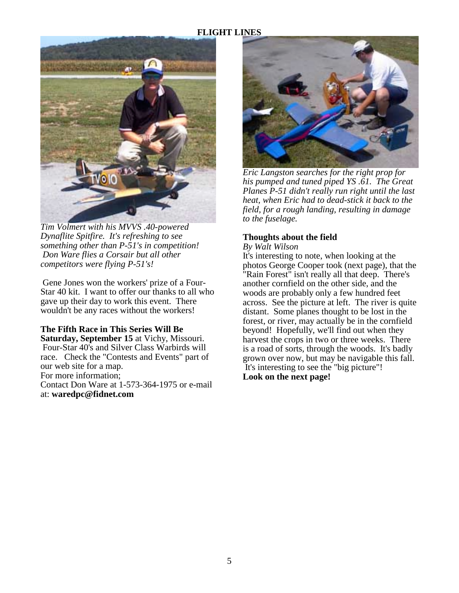

*Tim Volmert with his MVVS .40-powered Dynaflite Spitfire. It's refreshing to see something other than P-51's in competition! Don Ware flies a Corsair but all other competitors were flying P-51's!* 

 Gene Jones won the workers' prize of a Four-Star 40 kit. I want to offer our thanks to all who gave up their day to work this event. There wouldn't be any races without the workers!

**The Fifth Race in This Series Will Be Saturday, September 15** at Vichy, Missouri. Four-Star 40's and Silver Class Warbirds will race. Check the "Contests and Events" part of our web site for a map. For more information; Contact Don Ware at 1-573-364-1975 or e-mail at: **waredpc@fidnet.com** 



 *Eric Langston searches for the right prop for his pumped and tuned piped YS .61. The Great Planes P-51 didn't really run right until the last heat, when Eric had to dead-stick it back to the field, for a rough landing, resulting in damage to the fuselage.* 

# **Thoughts about the field**

### *By Walt Wilson*

It's interesting to note, when looking at the photos George Cooper took (next page), that the "Rain Forest" isn't really all that deep. There's another cornfield on the other side, and the woods are probably only a few hundred feet across. See the picture at left. The river is quite distant. Some planes thought to be lost in the forest, or river, may actually be in the cornfield beyond! Hopefully, we'll find out when they harvest the crops in two or three weeks. There is a road of sorts, through the woods. It's badly grown over now, but may be navigable this fall. It's interesting to see the "big picture"!

**Look on the next page!**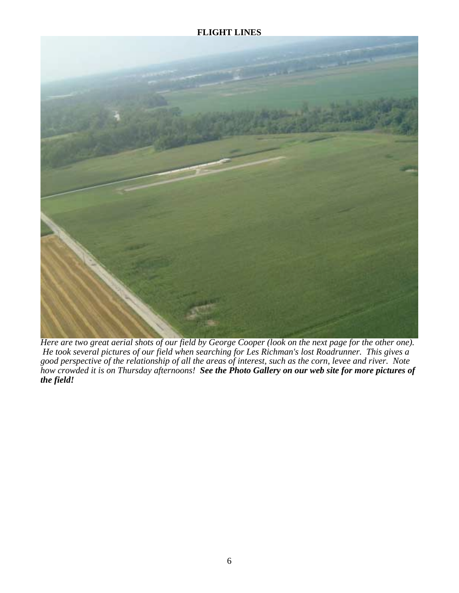

*Here are two great aerial shots of our field by George Cooper (look on the next page for the other one). He took several pictures of our field when searching for Les Richman's lost Roadrunner. This gives a good perspective of the relationship of all the areas of interest, such as the corn, levee and river. Note how crowded it is on Thursday afternoons! See the Photo Gallery on our web site for more pictures of the field!*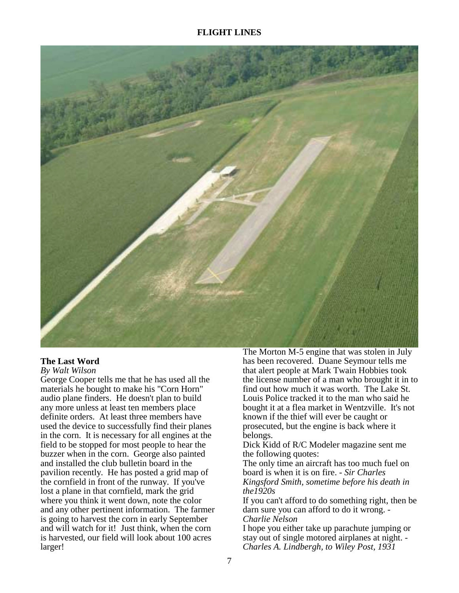

# **The Last Word**

#### *By Walt Wilson*

George Cooper tells me that he has used all the materials he bought to make his "Corn Horn" audio plane finders. He doesn't plan to build any more unless at least ten members place definite orders. At least three members have used the device to successfully find their planes in the corn. It is necessary for all engines at the field to be stopped for most people to hear the buzzer when in the corn. George also painted and installed the club bulletin board in the pavilion recently. He has posted a grid map of the cornfield in front of the runway. If you've lost a plane in that cornfield, mark the grid where you think it went down, note the color and any other pertinent information. The farmer is going to harvest the corn in early September and will watch for it! Just think, when the corn is harvested, our field will look about 100 acres larger!

The Morton M-5 engine that was stolen in July has been recovered. Duane Seymour tells me that alert people at Mark Twain Hobbies took the license number of a man who brought it in to find out how much it was worth. The Lake St. Louis Police tracked it to the man who said he bought it at a flea market in Wentzville. It's not known if the thief will ever be caught or prosecuted, but the engine is back where it belongs.

Dick Kidd of R/C Modeler magazine sent me the following quotes:

The only time an aircraft has too much fuel on board is when it is on fire. *- Sir Charles Kingsford Smith, sometime before his death in the1920s* 

If you can't afford to do something right, then be darn sure you can afford to do it wrong. - *Charlie Nelson*

I hope you either take up parachute jumping or stay out of single motored airplanes at night. - *Charles A. Lindbergh, to Wiley Post, 1931*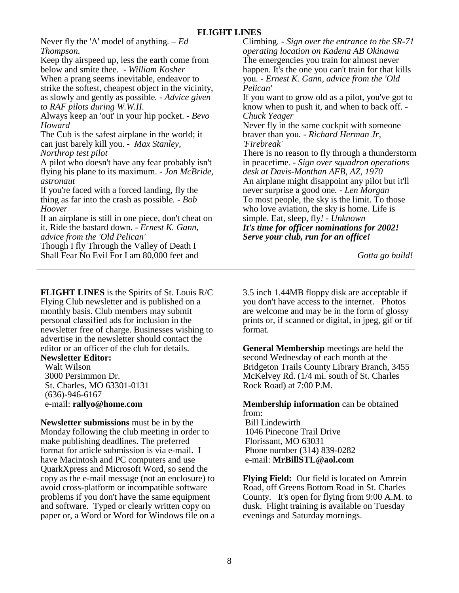Never fly the 'A' model of anything*. – Ed Thompson.* 

Keep thy airspeed up, less the earth come from below and smite thee. *- William Kosher* When a prang seems inevitable, endeavor to strike the softest, cheapest object in the vicinity, as slowly and gently as possible*. - Advice given to RAF pilots during W.W.II.* 

Always keep an 'out' in your hip pocket. *- Bevo Howard* 

The Cub is the safest airplane in the world; it can just barely kill you. *- Max Stanley, Northrop test pilot* 

A pilot who doesn't have any fear probably isn't flying his plane to its maximum. *- Jon McBride, astronaut* 

If you're faced with a forced landing, fly the thing as far into the crash as possible*. - Bob Hoover* 

If an airplane is still in one piece, don't cheat on it. Ride the bastard down*. - Ernest K. Gann, advice from the 'Old Pelican'*

Though I fly Through the Valley of Death I Shall Fear No Evil For I am 80,000 feet and

**FLIGHT LINES** is the Spirits of St. Louis R/C Flying Club newsletter and is published on a monthly basis. Club members may submit personal classified ads for inclusion in the newsletter free of charge. Businesses wishing to advertise in the newsletter should contact the editor or an officer of the club for details.

# **Newsletter Editor:**

 Walt Wilson 3000 Persimmon Dr. St. Charles, MO 63301-0131 (636)-946-6167 e-mail: **rallyo@home.com**

**Newsletter submissions** must be in by the Monday following the club meeting in order to make publishing deadlines. The preferred format for article submission is via e-mail. I have Macintosh and PC computers and use QuarkXpress and Microsoft Word, so send the copy as the e-mail message (not an enclosure) to avoid cross-platform or incompatible software problems if you don't have the same equipment and software. Typed or clearly written copy on paper or, a Word or Word for Windows file on a Climbing*. - Sign over the entrance to the SR-71 operating location on Kadena AB Okinawa* The emergencies you train for almost never happen. It's the one you can't train for that kills you*. - Ernest K. Gann, advice from the 'Old Pelican'*

If you want to grow old as a pilot, you've got to know when to push it, and when to back off. - *Chuck Yeager*

Never fly in the same cockpit with someone braver than you*. - Richard Herman Jr, 'Firebreak'* 

There is no reason to fly through a thunderstorm in peacetime*. - Sign over squadron operations desk at Davis-Monthan AFB, AZ, 1970*  An airplane might disappoint any pilot but it'll never surprise a good one*. - Len Morgan* To most people, the sky is the limit. To those who love aviation, the sky is home. Life is simple. Eat, sleep, fly*! - Unknown It's time for officer nominations for 2002! Serve your club, run for an office!* 

 *Gotta go build!*

3.5 inch 1.44MB floppy disk are acceptable if you don't have access to the internet. Photos are welcome and may be in the form of glossy prints or, if scanned or digital, in jpeg, gif or tif format.

**General Membership** meetings are held the second Wednesday of each month at the Bridgeton Trails County Library Branch, 3455 McKelvey Rd. (1/4 mi. south of St. Charles Rock Road) at 7:00 P.M.

**Membership information** can be obtained from: Bill Lindewirth 1046 Pinecone Trail Drive Florissant, MO 63031

 Phone number (314) 839-0282 e-mail: **MrBillSTL@aol.com**

**Flying Field:** Our field is located on Amrein Road, off Greens Bottom Road in St. Charles County. It's open for flying from 9:00 A.M. to dusk. Flight training is available on Tuesday evenings and Saturday mornings.